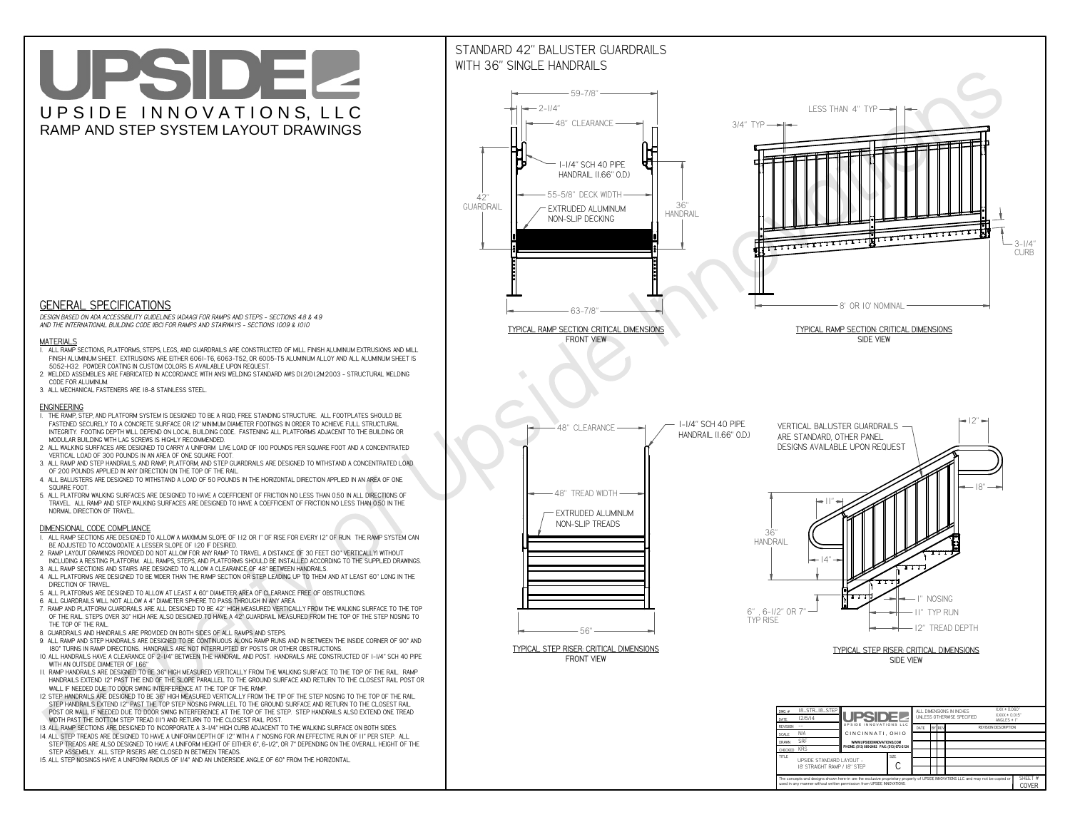# UPSIDEL UPSIDE INNOVATIONS, LLC RAMP AND STEP SYSTEM LAYOUT DRAWINGS



 *DESIGN BASED ON ADA ACCESSIBILITY GUIDELINES (ADAAG) FOR RAMPS AND STEPS - SECTIONS 4.8 & 4.9AND THE INTERNATIONAL BUILDING CODE (IBC) FOR RAMPS AND STAIRWAYS - SECTIONS 1009 & 1010*

#### **MATERIALS**

- **1. ALL RAMP SECTIONS, PLATFORMS, STEPS, LEGS, AND GUARDRAILS ARE CONSTRUCTED OF MILL FINISH ALUMINUM EXTRUSIONS AND MILL FINISH ALUMINUM SHEET. EXTRUSIONS ARE EITHER 6061-T6, 6063-T52, OR 6005-T5 ALUMINUM ALLOY AND ALL ALUMINUM SHEET IS 5052-H32. POWDER COATING IN CUSTOM COLORS IS AVAILABLE UPON REQUEST.**
- **2. WELDED ASSEMBLIES ARE FABRICATED IN ACCORDANCE WITH ANSI WELDING STANDARD AWS D1.2/D1.2M:2003 STRUCTURAL WELDING CODE FOR ALUMINUM.**
- **3. ALL MECHANICAL FASTENERS ARE 18-8 STAINLESS STEEL.**

#### **ENGINEERING**

- **1. THE RAMP, STEP, AND PLATFORM SYSTEM IS DESIGNED TO BE A RIGID, FREE STANDING STRUCTURE. ALL FOOTPLATES SHOULD BE FASTENED SECURELY TO A CONCRETE SURFACE OR 12" MINIMUM DIAMETER FOOTINGS IN ORDER TO ACHIEVE FULL STRUCTURAL INTEGRITY. FOOTING DEPTH WILL DEPEND ON LOCAL BUILDING CODE. FASTENING ALL PLATFORMS ADJACENT TO THE BUILDING OR MODULAR BUILDING WITH LAG SCREWS IS HIGHLY RECOMMENDED.**
- **2. ALL WALKING SURFACES ARE DESIGNED TO CARRY A UNIFORM LIVE LOAD OF 100 POUNDS PER SQUARE FOOT AND A CONCENTRATED VERTICAL LOAD OF 300 POUNDS IN AN AREA OF ONE SQUARE FOOT.**
- **3. ALL RAMP AND STEP HANDRAILS, AND RAMP, PLATFORM, AND STEP GUARDRAILS ARE DESIGNED TO WITHSTAND A CONCENTRATED LOAD OF 200 POUNDS APPLIED IN ANY DIRECTION ON THE TOP OF THE RAIL.**
- **4. ALL BALUSTERS ARE DESIGNED TO WITHSTAND A LOAD OF 50 POUNDS IN THE HORIZONTAL DIRECTION APPLIED IN AN AREA OF ONE SQUARE FOOT.**
- **5. ALL PLATFORM WALKING SURFACES ARE DESIGNED TO HAVE A COEFFICIENT OF FRICTION NO LESS THAN 0.50 IN ALL DIRECTIONS OF TRAVEL. ALL RAMP AND STEP WALKING SURFACES ARE DESIGNED TO HAVE A COEFFICIENT OF FRICTION NO LESS THAN 0.50 IN THE NORMAL DIRECTION OF TRAVEL.**

### **DIMENSIONAL CODE COMPLIANCE**



- **1. ALL RAMP SECTIONS ARE DESIGNED TO ALLOW A MAXIMUM SLOPE OF 1:12 OR 1" OF RISE FOR EVERY 12" OF RUN. THE RAMP SYSTEM CAN BE ADJUSTED TO ACCOMODATE A LESSER SLOPE OF 1:20 IF DESIRED.**
- **2. RAMP LAYOUT DRAWINGS PROVIDED DO NOT ALLOW FOR ANY RAMP TO TRAVEL A DISTANCE OF 30 FEET (30" VERTICALLY) WITHOUT INCLUDING A RESTING PLATFORM. ALL RAMPS, STEPS, AND PLATFORMS SHOULD BE INSTALLED ACCORDING TO THE SUPPLIED DRAWINGS.**
- **3. ALL RAMP SECTIONS AND STAIRS ARE DESIGNED TO ALLOW A CLEARANCE OF 48" BETWEEN HANDRAILS.**
- **4. ALL PLATFORMS ARE DESIGNED TO BE WIDER THAN THE RAMP SECTION OR STEP LEADING UP TO THEM AND AT LEAST 60" LONG IN THE DIRECTION OF TRAVEL.**
- **5. ALL PLATFORMS ARE DESIGNED TO ALLOW AT LEAST A 60" DIAMETER AREA OF CLEARANCE FREE OF OBSTRUCTIONS.**
- **6. ALL GUARDRAILS WILL NOT ALLOW A 4" DIAMETER SPHERE TO PASS THROUGH IN ANY AREA.**
- **7. RAMP AND PLATFORM GUARDRAILS ARE ALL DESIGNED TO BE 42" HIGH MEASURED VERTICALLY FROM THE WALKING SURFACE TO THE TOP OF THE RAIL. STEPS OVER 30" HIGH ARE ALSO DESIGNED TO HAVE A 42" GUARDRAIL MEASURED FROM THE TOP OF THE STEP NOSING TO THE TOP OF THE RAIL.**
- **8. GUARDRAILS AND HANDRAILS ARE PROVIDED ON BOTH SIDES OF ALL RAMPS AND STEPS.**
- **9. ALL RAMP AND STEP HANDRAILS ARE DESIGNED TO BE CONTINUOUS ALONG RAMP RUNS AND IN BETWEEN THE INSIDE CORNER OF 90° AND 180° TURNS IN RAMP DIRECTIONS. HANDRAILS ARE NOT INTERRUPTED BY POSTS OR OTHER OBSTRUCTIONS.**
- **10. ALL HANDRAILS HAVE A CLEARANCE OF 2-1/4" BETWEEN THE HANDRAIL AND POST. HANDRAILS ARE CONSTRUCTED OF 1-1/4" SCH 40 PIPE WITH AN OUTSIDE DIAMETER OF 1.66"**
- **11. RAMP HANDRAILS ARE DESIGNED TO BE 36" HIGH MEASURED VERTICALLY FROM THE WALKING SURFACE TO THE TOP OF THE RAIL. RAMP HANDRAILS EXTEND 12" PAST THE END OF THE SLOPE PARALLEL TO THE GROUND SURFACE AND RETURN TO THE CLOSEST RAIL POST OR WALL IF NEEDED DUE TO DOOR SWING INTERFERENCE AT THE TOP OF THE RAMP.**
- **12. STEP HANDRAILS ARE DESIGNED TO BE 36" HIGH MEASURED VERTICALLY FROM THE TIP OF THE STEP NOSING TO THE TOP OF THE RAIL. STEP HANDRAILS EXTEND 12" PAST THE TOP STEP NOSING PARALLEL TO THE GROUND SURFACE AND RETURN TO THE CLOSEST RAIL POST OR WALL IF NEEDED DUE TO DOOR SWING INTERFERENCE AT THE TOP OF THE STEP. STEP HANDRAILS ALSO EXTEND ONE TREAD**
- **WIDTH PAST THE BOTTOM STEP TREAD (11") AND RETURN TO THE CLOSEST RAIL POST.**
- **13. ALL RAMP SECTIONS ARE DESIGNED TO INCORPORATE A 3-1/4" HIGH CURB ADJACENT TO THE WALKING SURFACE ON BOTH SIDES.**
- **14. ALL STEP TREADS ARE DESIGNED TO HAVE A UNIFORM DEPTH OF 12" WITH A 1" NOSING FOR AN EFFECTIVE RUN OF 11" PER STEP. ALL STEP TREADS ARE ALSO DESIGNED TO HAVE A UNIFORM HEIGHT OF EITHER 6", 6-1/2", OR 7" DEPENDING ON THE OVERALL HEIGHT OF THE STEP ASSEMBLY. ALL STEP RISERS ARE CLOSED IN BETWEEN TREADS.**
- **15. ALL STEP NOSINGS HAVE A UNIFORM RADIUS OF 1/4" AND AN UNDERSIDE ANGLE OF 60° FROM THE HORIZONTAL.**

## STANDARD 42" BALUSTER GUARDRAILSWITH 36" SINGLE HANDRAILS